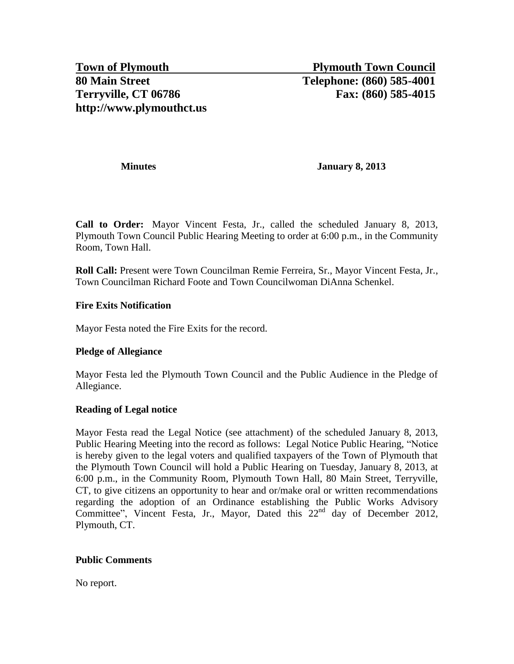**Minutes January 8, 2013** 

**Call to Order:** Mayor Vincent Festa, Jr., called the scheduled January 8, 2013, Plymouth Town Council Public Hearing Meeting to order at 6:00 p.m., in the Community Room, Town Hall.

**Roll Call:** Present were Town Councilman Remie Ferreira, Sr., Mayor Vincent Festa, Jr., Town Councilman Richard Foote and Town Councilwoman DiAnna Schenkel.

### **Fire Exits Notification**

Mayor Festa noted the Fire Exits for the record.

# **Pledge of Allegiance**

Mayor Festa led the Plymouth Town Council and the Public Audience in the Pledge of Allegiance.

### **Reading of Legal notice**

Mayor Festa read the Legal Notice (see attachment) of the scheduled January 8, 2013, Public Hearing Meeting into the record as follows: Legal Notice Public Hearing, "Notice is hereby given to the legal voters and qualified taxpayers of the Town of Plymouth that the Plymouth Town Council will hold a Public Hearing on Tuesday, January 8, 2013, at 6:00 p.m., in the Community Room, Plymouth Town Hall, 80 Main Street, Terryville, CT, to give citizens an opportunity to hear and or/make oral or written recommendations regarding the adoption of an Ordinance establishing the Public Works Advisory Committee", Vincent Festa, Jr., Mayor, Dated this 22<sup>nd</sup> day of December 2012, Plymouth, CT.

# **Public Comments**

No report.